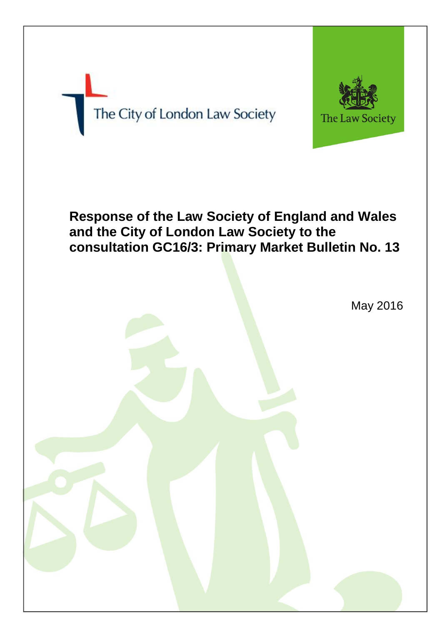